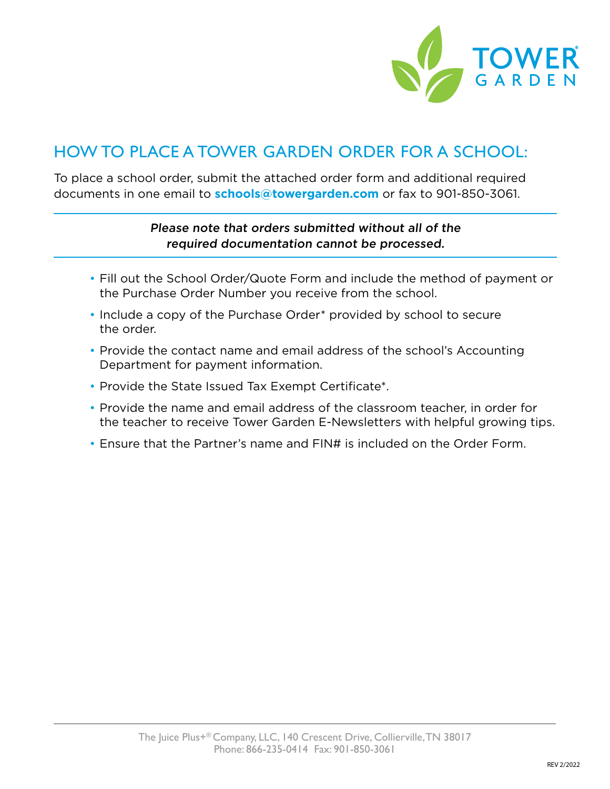

## HOW TO PLACE A TOWER GARDEN ORDER FOR A SCHOOL:

To place a school order, submit the attached order form and additional required documents in one email to **schools@towergarden.com** or fax to 901-850-3061.

### Please note that orders submitted without all of the required documentation cannot be processed.

- Fill out the School Order/Quote Form and include the method of payment or the Purchase Order Number you receive from the school.
- Include a copy of the Purchase Order\* provided by school to secure the order.
- Provide the contact name and email address of the school's Accounting Department for payment information.
- Provide the State Issued Tax Exempt Certificate\*.
- Provide the name and email address of the classroom teacher, in order for the teacher to receive Tower Garden E-Newsletters with helpful growing tips.
- Ensure that the Partner's name and FIN# is included on the Order Form.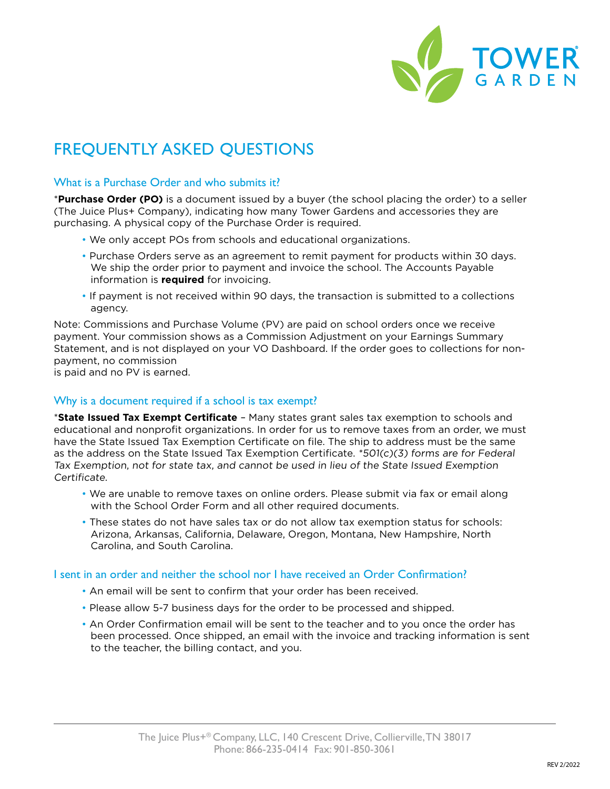

## FREQUENTLY ASKED QUESTIONS

#### What is a Purchase Order and who submits it?

\***Purchase Order (PO)** is a document issued by a buyer (the school placing the order) to a seller (The Juice Plus+ Company), indicating how many Tower Gardens and accessories they are purchasing. A physical copy of the Purchase Order is required.

- We only accept POs from schools and educational organizations.
- Purchase Orders serve as an agreement to remit payment for products within 30 days. We ship the order prior to payment and invoice the school. The Accounts Payable information is **required** for invoicing.
- If payment is not received within 90 days, the transaction is submitted to a collections agency.

Note: Commissions and Purchase Volume (PV) are paid on school orders once we receive payment. Your commission shows as a Commission Adjustment on your Earnings Summary Statement, and is not displayed on your VO Dashboard. If the order goes to collections for nonpayment, no commission

is paid and no PV is earned.

### Why is a document required if a school is tax exempt?

\***State Issued Tax Exempt Certificate** – Many states grant sales tax exemption to schools and educational and nonprofit organizations. In order for us to remove taxes from an order, we must have the State Issued Tax Exemption Certificate on file. The ship to address must be the same as the address on the State Issued Tax Exemption Certificate.  $*501(c)(3)$  forms are for Federal Tax Exemption, not for state tax, and cannot be used in lieu of the State Issued Exemption Certificate.

- We are unable to remove taxes on online orders. Please submit via fax or email along with the School Order Form and all other required documents.
- These states do not have sales tax or do not allow tax exemption status for schools: Arizona, Arkansas, California, Delaware, Oregon, Montana, New Hampshire, North Carolina, and South Carolina.

### I sent in an order and neither the school nor I have received an Order Confirmation?

- An email will be sent to confirm that your order has been received.
- Please allow 5-7 business days for the order to be processed and shipped.
- An Order Confirmation email will be sent to the teacher and to you once the order has been processed. Once shipped, an email with the invoice and tracking information is sent to the teacher, the billing contact, and you.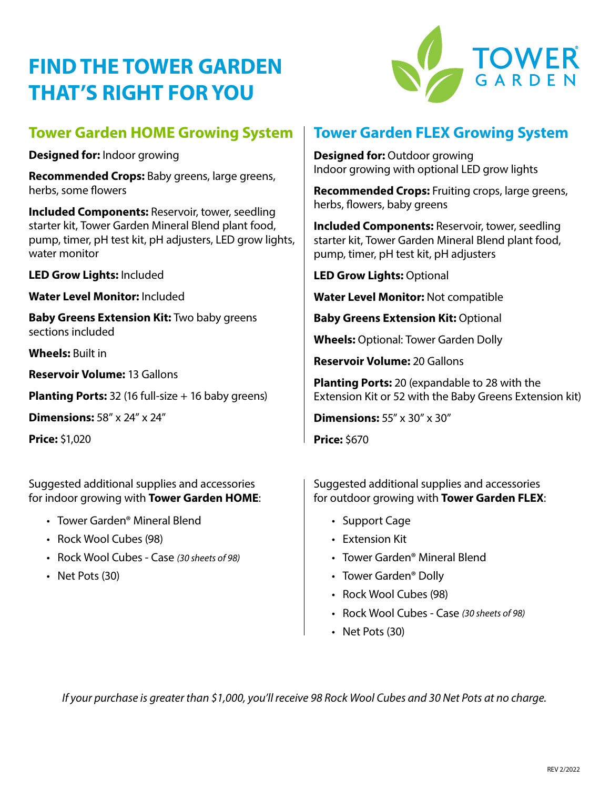# **FIND THE TOWER GARDEN THAT'S RIGHT FOR YOU**



### **Tower Garden HOME Growing System**

**Designed for:** Indoor growing

**Recommended Crops:** Baby greens, large greens, herbs, some flowers

**Included Components:** Reservoir, tower, seedling starter kit, Tower Garden Mineral Blend plant food, pump, timer, pH test kit, pH adjusters, LED grow lights, water monitor

**LED Grow Lights:** Included

**Water Level Monitor:** Included

**Baby Greens Extension Kit:** Two baby greens sections included

**Wheels:** Built in

**Reservoir Volume:** 13 Gallons

**Planting Ports:** 32 (16 full-size + 16 baby greens)

**Dimensions:** 58" x 24" x 24"

**Price:** \$1,020

Suggested additional supplies and accessories for indoor growing with **Tower Garden HOME**:

- Tower Garden® Mineral Blend
- Rock Wool Cubes (98)
- Rock Wool Cubes Case *(30 sheets of 98)*
- Net Pots (30)

### **Tower Garden FLEX Growing System**

**Designed for: Outdoor growing** Indoor growing with optional LED grow lights

**Recommended Crops:** Fruiting crops, large greens, herbs, flowers, baby greens

**Included Components:** Reservoir, tower, seedling starter kit, Tower Garden Mineral Blend plant food, pump, timer, pH test kit, pH adjusters

**LED Grow Lights:** Optional

**Water Level Monitor:** Not compatible

**Baby Greens Extension Kit: Optional** 

**Wheels:** Optional: Tower Garden Dolly

**Reservoir Volume:** 20 Gallons

**Planting Ports:** 20 (expandable to 28 with the Extension Kit or 52 with the Baby Greens Extension kit)

**Dimensions:** 55" x 30" x 30"

**Price:** \$670

Suggested additional supplies and accessories for outdoor growing with **Tower Garden FLEX**:

- Support Cage
- Extension Kit
- Tower Garden® Mineral Blend
- Tower Garden® Dolly
- Rock Wool Cubes (98)
- Rock Wool Cubes Case *(30 sheets of 98)*
- Net Pots (30)

*If your purchase is greater than \$1,000, you'll receive 98 Rock Wool Cubes and 30 Net Pots at no charge.*